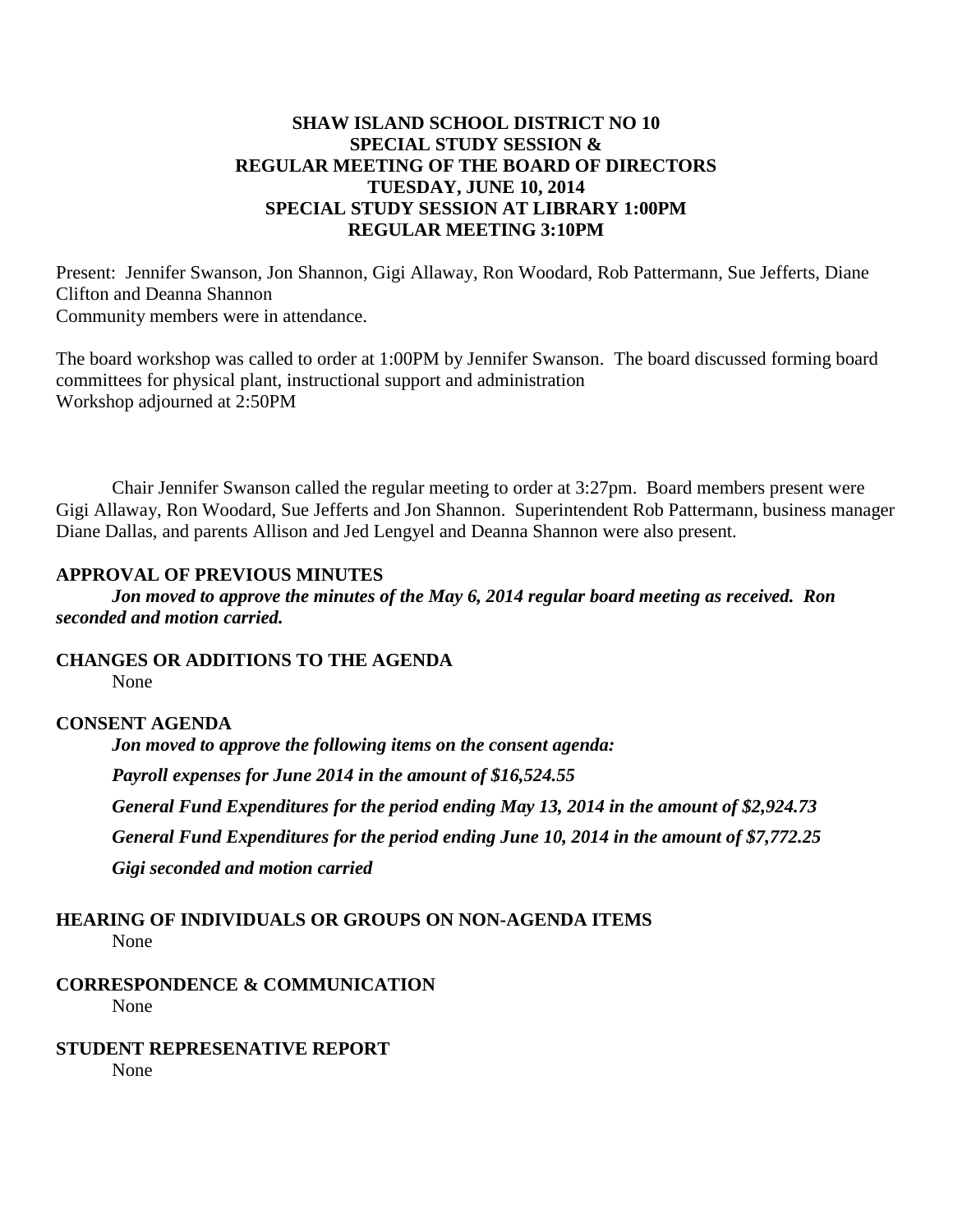### **SHAW ISLAND SCHOOL DISTRICT NO 10 SPECIAL STUDY SESSION & REGULAR MEETING OF THE BOARD OF DIRECTORS TUESDAY, JUNE 10, 2014 SPECIAL STUDY SESSION AT LIBRARY 1:00PM REGULAR MEETING 3:10PM**

Present: Jennifer Swanson, Jon Shannon, Gigi Allaway, Ron Woodard, Rob Pattermann, Sue Jefferts, Diane Clifton and Deanna Shannon Community members were in attendance.

The board workshop was called to order at 1:00PM by Jennifer Swanson. The board discussed forming board committees for physical plant, instructional support and administration Workshop adjourned at 2:50PM

Chair Jennifer Swanson called the regular meeting to order at 3:27pm. Board members present were Gigi Allaway, Ron Woodard, Sue Jefferts and Jon Shannon. Superintendent Rob Pattermann, business manager Diane Dallas, and parents Allison and Jed Lengyel and Deanna Shannon were also present.

#### **APPROVAL OF PREVIOUS MINUTES**

*Jon moved to approve the minutes of the May 6, 2014 regular board meeting as received. Ron seconded and motion carried.*

**CHANGES OR ADDITIONS TO THE AGENDA** None

#### **CONSENT AGENDA**

*Jon moved to approve the following items on the consent agenda: Payroll expenses for June 2014 in the amount of \$16,524.55 General Fund Expenditures for the period ending May 13, 2014 in the amount of \$2,924.73 General Fund Expenditures for the period ending June 10, 2014 in the amount of \$7,772.25 Gigi seconded and motion carried*

# **HEARING OF INDIVIDUALS OR GROUPS ON NON-AGENDA ITEMS**

None

#### **CORRESPONDENCE & COMMUNICATION** None

# **STUDENT REPRESENATIVE REPORT**

None